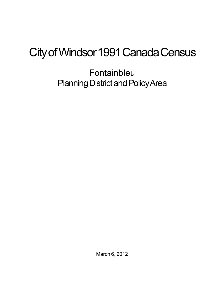## City of Windsor 1991 Canada Census

Fontainbleu Planning District and Policy Area

March 6, 2012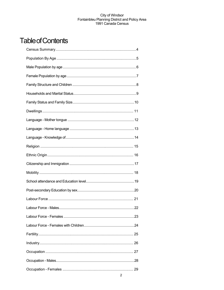## **Table of Contents**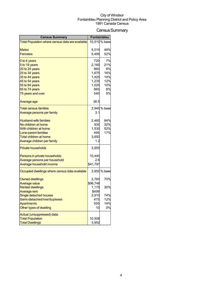## Census Summary

| <b>Census Summary</b>                            | <b>Fontainbleu</b> |               |
|--------------------------------------------------|--------------------|---------------|
| Total Population where census data are available |                    | 10,510 % base |
|                                                  |                    |               |
| <b>Males</b>                                     | 5,015              | 48%           |
| <b>Females</b>                                   | 5,495              | 52%           |
| 0 to 4 years                                     | 720                | 7%            |
| 5 to 19 years                                    | 2,160              | 21%           |
| 20 to 24 years                                   | 860                | 8%            |
| 25 to 34 years                                   | 1,675              | 16%           |
| 35 to 44 years                                   | 1,425              | 14%           |
| 45 to 54 years                                   | 1,235              | 12%           |
| 55 to 64 years                                   | 1,025              | 10%           |
| 65 to 74 years                                   | 865                | 8%            |
| 75 years and over                                | 540                | 5%            |
| Average age                                      | 36.5               |               |
| <b>Total census families</b>                     |                    | 2,945 % base  |
| <u>Average persons per family</u>                | 3.1                |               |
| <b>Husband-wife families</b>                     | 2,460              | 84%           |
| No children at home                              | 930                | 32%           |
| With children at home                            | 1,530              | 52%           |
| Lone-parent families                             | 495                | 17%           |
| <b>Total children at home</b>                    | 3,650              |               |
| Average children per family                      | 1.2                |               |
| <b>Private households</b>                        | 3,955              |               |
| Persons in private households                    | 10,440             |               |
| Average persons per household                    | 2.6                |               |
| Average household income                         | \$41,797           |               |
| Occupied dwellings where census data available   |                    | 3,950 % base  |
| <b>Owned dwellings</b>                           | 2,765              | 70%           |
| <b>Average value</b>                             | \$96,748           |               |
| <b>Rented dwellings</b>                          | 1,175              | 30%           |
| <b>Average rent</b>                              | \$499              |               |
| Single detached houses                           | 2,910              | 74%           |
| Semi-detached/row/duplexes                       | 475                | 12%           |
| <b>Apartments</b>                                | 555                | 14%           |
| Other types of dwelling                          | 10                 | 0%            |
| Actual (unsuppressed) data:                      |                    |               |
| <b>Total Population</b>                          | 10,508             |               |
| <b>Total Dwellings</b>                           | 3,952              |               |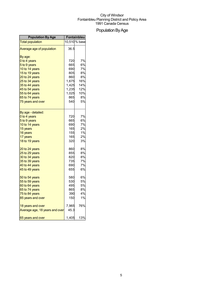## Population By Age

| <b>Population By Age</b>       | Fontainbleu |               |
|--------------------------------|-------------|---------------|
| <b>Total population</b>        |             | 10,510 % base |
| Average age of population      | 36.5        |               |
| By age:                        |             |               |
| 0 to 4 years                   | 720         | 7%            |
| 5 to 9 years                   | 665         | 6%            |
| 10 to 14 years                 | 690         | 7%            |
| 15 to 19 years                 | 805         | 8%            |
| 20 to 24 years                 | 860         | 8%            |
| 25 to 34 years                 | 1,675       | 16%           |
| 35 to 44 years                 | 1,425       | 14%           |
| 45 to 54 years                 | 1,235       | 12%           |
| 55 to 64 years                 | 1,025       | 10%           |
| 65 to 74 years                 | 865         | 8%            |
| 75 years and over              | 540         | 5%            |
| By age - detailed:             |             |               |
| 0 to 4 years                   | 720         | 7%            |
| 5 to 9 years                   | 665         | 6%            |
| 10 to 14 years                 | 690         | 7%            |
| 15 years                       | 165         | 2%            |
| 16 years                       | 155         | 1%            |
| 17 years                       | 165         | 2%            |
| 18 to 19 years                 | 320         | 3%            |
| 20 to 24 years                 | 860         | 8%            |
| 25 to 29 years                 | 855         | 8%            |
| 30 to 34 years                 | 820         | 8%            |
| 35 to 39 years                 | 735         | 7%            |
| 40 to 44 years                 | 690         | 7%            |
| 45 to 49 years                 | 655         | 6%            |
| 50 to 54 years                 | 580         | 6%            |
| 55 to 59 years                 | 530         | 5%            |
| 60 to 64 years                 | 495         | <b>5%</b>     |
| 65 to 74 years                 | 865         | 8%            |
| 75 to 84 years                 | 390         | 4%            |
| 85 years and over              | 150         | 1%            |
| 18 years and over              | 7,965       | 76%           |
| Average age, 18 years and over | 45.3        |               |
| 65 years and over              | 1,405       | 13%           |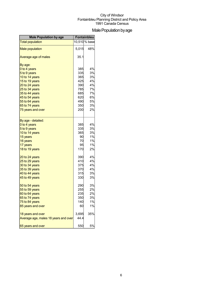## Male Population by age

| <b>Male Population by age</b>        | Fontainbleu |               |
|--------------------------------------|-------------|---------------|
| <b>Total population</b>              |             | 10,510 % base |
| <b>Male population</b>               | 5,015       | 48%           |
| Average age of males                 | 35.1        |               |
| By age:                              |             |               |
| 0 to 4 years                         | 385         | 4%            |
| 5 to 9 years                         | 335         | 3%            |
| 10 to 14 years                       | 365         | 3%            |
| 15 to 19 years                       | 425         | 4%            |
| 20 to 24 years                       | 390         | 4%            |
| 25 to 34 years                       | 785         | 7%            |
| 35 to 44 years                       | 685         | 7%            |
| 45 to 54 years                       | 620         | 6%            |
| 55 to 64 years                       | 490         | 5%            |
| 65 to 74 years                       | 350         | 3%            |
| 75 years and over                    | 200         | 2%            |
| By age - detailed:                   |             |               |
| 0 to 4 years                         | 385         | 4%            |
| 5 to 9 years                         | 335         | 3%            |
| 10 to 14 years                       | 365         | 3%            |
| 15 years                             | 90          | 1%            |
| 16 years                             | 70          | 1%            |
| 17 years                             | 95          | 1%            |
| 18 to 19 years                       | 170         | 2%            |
| 20 to 24 years                       | 390         | 4%            |
| 25 to 29 years                       | 410         | 4%            |
| 30 to 34 years                       | 375         | 4%            |
| 35 to 39 years                       | 370         | 4%            |
| 40 to 44 years                       | 315         | 3%            |
| 45 to 49 years                       | 330         | 3%            |
| 50 to 54 years                       | 290         | 3%            |
| 55 to 59 years                       | 255         | 2%            |
| 60 to 64 years                       | 235         | 2%            |
| 65 to 74 years                       | 350         | 3%            |
| 75 to 84 years                       | 140         | 1%            |
| 85 years and over                    | 60          | 1%            |
| 18 years and over                    | 3,695       | 35%           |
| Average age, males 18 years and over | 44.4        |               |
| 65 years and over                    | 550         | 5%            |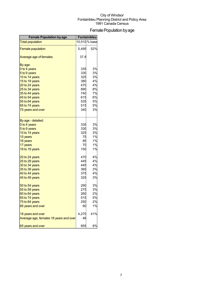## Female Population by age

| <b>Female Population by age</b>        | Fontainbleu |               |
|----------------------------------------|-------------|---------------|
| <b>Total population</b>                |             | 10,510 % base |
| <b>Female population</b>               | 5,495       | 52%           |
| Average age of females                 | 37.8        |               |
| By age:                                |             |               |
| 0 to 4 years                           | 335         | 3%            |
| 5 to 9 years                           | 330         | 3%            |
| 10 to 14 years                         | 325         | 3%            |
| 15 to 19 years                         | 380         | 4%            |
| 20 to 24 years                         | 470         | 4%            |
| 25 to 34 years                         | 890         | 8%            |
| 35 to 44 years                         | 740         | 7%            |
| 45 to 54 years                         | 615         | 6%            |
| 55 to 64 years                         | 535         | 5%            |
| 65 to 74 years                         | 515         | 5%            |
| 75 years and over                      | 340         | 3%            |
| By age - detailed:                     |             |               |
| 0 to 4 years                           | 335         | 3%            |
| 5 to 9 years                           | 330         | 3%            |
| 10 to 14 years                         | 325         | 3%            |
| 15 years                               | 75          | 1%            |
| 16 years                               | 85          | 1%            |
| 17 years                               | 70          | 1%            |
| 18 to 19 years                         | 150         | 1%            |
| 20 to 24 years                         | 470         | 4%            |
| 25 to 29 years                         | 445         | 4%            |
| 30 to 34 years                         | 445         | 4%            |
| 35 to 39 years                         | 365         | 3%            |
| 40 to 44 years                         | 375         | 4%            |
| 45 to 49 years                         | 325         | 3%            |
| 50 to 54 years                         | 290         | 3%            |
| 55 to 59 years                         | 275         | 3%            |
| 60 to 64 years                         | 260         | 2%            |
| 65 to 74 years                         | 515         | 5%            |
| 75 to 84 years                         | 250         | 2%            |
| 85 years and over                      | 90          | 1%            |
| 18 years and over                      | 4,270       | 41%           |
| Average age, females 18 years and over | 46          |               |
| 65 years and over                      | 855         | 8%            |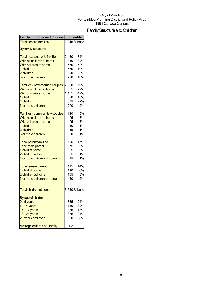## Family Structure and Children

| <b>Family Structure and Children Fontainbleu</b> |       |              |
|--------------------------------------------------|-------|--------------|
| <b>Total census families</b>                     |       | 2,945 % base |
| By family structure:                             |       |              |
| <b>Total husband-wife families</b>               | 2,460 | 84%          |
| With no children at home                         | 930   | 32%          |
| With children at home                            | 1,530 | 52%          |
| 1 child                                          | 550   | 19%          |
| 2 children                                       | 690   | 23%          |
| 3 or more children                               | 290   | 10%          |
|                                                  |       |              |
| Families - now-married couples                   | 2,320 | 79%          |
| With no children at home                         | 855   | 29%          |
| With children at home                            | 1,455 | 49%          |
| 1 child                                          | 520   | 18%          |
| 2 children                                       | 655   | 22%          |
| 3 or more children                               | 270   | 9%           |
|                                                  |       |              |
| Families - common-law couples                    | 140   | 5%           |
| With no children at home                         | 75    | 3%           |
| With children at home                            | 75    | 3%           |
| 1 child                                          | 30    | 1%           |
| 2 children                                       | 35    | 1%           |
| 3 or more children                               | 20    | 1%           |
| Lone-parent families                             | 495   | 17%          |
| Lone male parent                                 | 75    | 3%           |
| 1 child at home                                  | 55    | 2%           |
| 2 children at home                               | 25    | 1%           |
| 3 or more children at home                       | 15    | 1%           |
|                                                  |       |              |
| Lone female parent                               | 415   | 14%          |
| 1 child at home                                  | 190   | 6%           |
| 2 children at home                               | 155   | 5%           |
| 3 or more children at home                       | 50    | 2%           |
| <b>Total children at home</b>                    |       | 3,650 % base |
|                                                  |       |              |
| By age of children:                              |       |              |
| $0 - 5$ years                                    | 865   | 24%          |
| $6 - 14$ years                                   | 1,160 | 32%          |
| 15 - 17 years                                    | 475   | 13%          |
| 18 - 24 years                                    | 875   | 24%          |
| 25 years and over                                | 300   | 8%           |
| Average children per family                      | 1.2   |              |
|                                                  |       |              |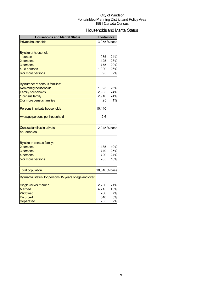## Households and Marital Status

| <b>Households and Marital Status</b>                     |            | Fontainbleu   |
|----------------------------------------------------------|------------|---------------|
| <b>Private households</b>                                |            | 3,955 % base  |
|                                                          |            |               |
| By size of household:                                    |            |               |
| 1 person                                                 | 935        | 24%           |
| 2 persons                                                | 1,125      | 28%           |
| 3 persons                                                | 775        | 20%           |
| 4 - 5 persons                                            | 1,020      | 26%           |
| 6 or more persons                                        | 95         | 2%            |
|                                                          |            |               |
| By number of census families:                            |            |               |
| Non-family households                                    | 1,025      | 26%           |
| <b>Family households</b>                                 | 2,935      | 74%           |
| 1 census family                                          | 2,910      | 74%           |
| 2 or more census families                                | 25         | 1%            |
| Persons in private households                            | 10,440     |               |
| Average persons per household                            | 2.6        |               |
| Census families in private                               |            | 2,945 % base  |
| households                                               |            |               |
|                                                          |            |               |
| By size of census family:                                |            |               |
| 2 persons                                                | 1,185      | 40%           |
| 3 persons                                                | 740        | 25%           |
| 4 persons                                                | 720<br>285 | 24%<br>10%    |
| 5 or more persons                                        |            |               |
| <b>Total population</b>                                  |            | 10,510 % base |
| By marital status, for persons 15 years of age and over: |            |               |
| Single (never married)                                   | 2,250      | 21%           |
| <b>Married</b>                                           | 4,715      | 45%           |
| Widowed                                                  | 700        | 7%            |
| <b>Divorced</b>                                          | 540        | 5%            |
| Separated                                                | 235        | 2%            |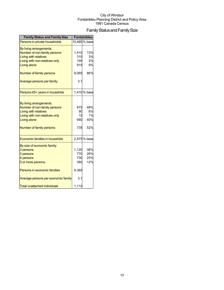## Family Status and Family Size

| <b>Family Status and Family Size</b>                                                                                                                                  |                               | Fontainbleu                   |
|-----------------------------------------------------------------------------------------------------------------------------------------------------------------------|-------------------------------|-------------------------------|
| Persons in private households                                                                                                                                         |                               | 10,485 % base                 |
| By living arrangements:<br>Number of non-family persons<br><b>Living with relatives</b>                                                                               | 1,410<br>315                  | 13%<br>3%                     |
| Living with non-relatives only                                                                                                                                        | 195                           | 2%                            |
| <b>Living alone</b>                                                                                                                                                   | 915                           | 9%                            |
| Number of family persons                                                                                                                                              | 9,065                         | 86%                           |
| Average persons per family                                                                                                                                            | 3.1                           |                               |
| Persons 65+ years in househlds                                                                                                                                        |                               | 1,410 % base                  |
| By living arrangements:<br>Number of non-family persons<br><b>Living with relatives</b><br>Living with non-relatives only<br>Living alone<br>Number of family persons | 675<br>90<br>15<br>560<br>735 | 48%<br>6%<br>1%<br>40%<br>52% |
| Economic families in househlds                                                                                                                                        |                               | 2,975 % base                  |
| By size of economic family:<br>2 persons<br>3 persons<br>4 persons<br>5 or more persons                                                                               | 1,120<br>770<br>730<br>360    | 38%<br>26%<br>25%<br>12%      |
| Persons in economic families                                                                                                                                          | 9,365                         |                               |
| Average persons per economic family                                                                                                                                   | 3.1                           |                               |
| <b>Total unattached individuals</b>                                                                                                                                   | 1,115                         |                               |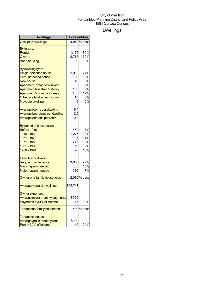## Dwellings

| Dwellings                      | Fontainbleu |              |
|--------------------------------|-------------|--------------|
| <b>Occupied dwellings</b>      |             | 3,950 % base |
| By tenure:                     |             |              |
| Rented                         | 1,175       | 30%          |
| Owned                          | 2,765       | 70%          |
| <b>Band housing</b>            | 0           | 0%           |
| By dwelling type:              |             |              |
| Single-detached house          | 2,910       | 74%          |
| Semi-detached house            | 100         | 3%           |
| <b>Row house</b>               | 310         | 8%           |
| Apartment, detached duplex     | 65          | 2%           |
| Apartment less than 5 storey   | 100         | 3%           |
| Apartment 5 or more storeys    | 455         | 12%          |
| Other single attached house    | 10          | 0%           |
| <b>Movable dwelling</b>        | 0           | 0%           |
| Average rooms per dwelling     | 6.1         |              |
| Average bedrooms per dwelling  | 2.5         |              |
| Average persons per room       | 0.4         |              |
| By period of construction      |             |              |
| Before 1946                    | 660         | 17%          |
| 1946 - 1960                    | 1,275       | 32%          |
| 1961 - 1970                    | 825         | 21%          |
| 1971 - 1980                    | 715         | 18%          |
| 1981 - 1985                    | 70          | 2%           |
| 1986 - 1991                    | 390         | 10%          |
| <b>Condition of dwelling:</b>  |             |              |
| Regular maintenance            | 3,035       | 77%          |
| Minor repairs needed           | 605         | 15%          |
| Major repairs needed           | 280         | 7%           |
| Owner one-family households    |             | 2,080 % base |
| Average value of dwellings     | \$96,748    |              |
| Owner expenses:                |             |              |
| Average major monthly payments | \$620       |              |
| Payments > 30% of income       | 245         | 12%          |
| Tenant one-family households   |             | 580 % base   |
| Tenant expenses:               |             |              |
| Average gross monthly rent     | \$499       |              |
| Rent > 30% of income           | 140         | 24%          |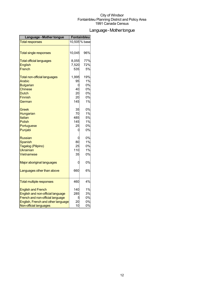## Language-Mothertongue

| Language - Mother tongue            | Fontainbleu |               |
|-------------------------------------|-------------|---------------|
| <b>Total responses</b>              |             | 10,505 % base |
|                                     |             |               |
| <b>Total single responses</b>       | 10,045      | 96%           |
| <b>Total official languages</b>     | 8,055       | 77%           |
| English                             | 7,520       | 72%           |
| French                              | 535         | 5%            |
| <b>Total non-official languages</b> | 1,995       | 19%           |
| Arabic                              | 95          | 1%            |
| <b>Bulgarian</b>                    | 0           | 0%            |
| Chinese                             | 40          | 0%            |
| Dutch                               | 20          | 0%            |
| <b>Finnish</b>                      | 20          | 0%            |
| German                              | 145         | 1%            |
| Greek                               | 35          | 0%            |
| Hungarian                           | 70          | 1%            |
| Italian                             | 485         | 5%            |
| Polish                              | 145         | 1%            |
| Portuguese                          | 25          | 0%            |
| Punjabi                             | 0           | 0%            |
| Russian                             | U           | 0%            |
| <b>Spanish</b>                      | 80          | 1%            |
| Tagalog (Pilipino)                  | 25          | 0%            |
| <b>Ukrainian</b>                    | 110         | 1%            |
| Vietnamese                          | 35          | 0%            |
| Major aboriginal languages          | 0           | 0%            |
| Languages other than above          | 660         | 6%            |
| <b>Total multiple responses</b>     | 460         | 4%            |
| <b>English and French</b>           | 140         | 1%            |
| English and non-official language   | 285         | 3%            |
| French and non-official language    | 5           | 0%            |
| English, French and other language  | 20          | 0%            |
| Non-official languages              | 10          | 0%            |
|                                     |             |               |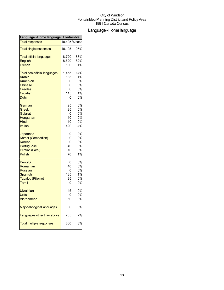## Language-Homelanguage

| Language - Home language            |        | <b>Fontainbleu</b> |
|-------------------------------------|--------|--------------------|
| <b>Total responses</b>              |        | 10,495 % base      |
| <b>Total single responses</b>       | 10,195 | 97%                |
| <b>Total official languages</b>     | 8,720  | 83%                |
| <b>English</b>                      | 8,620  | 82%                |
| French                              | 100    | 1%                 |
| <b>Total non-official languages</b> | 1,455  | 14%                |
| <b>Arabic</b>                       | 135    | 1%                 |
| Armenian                            | C      | 0%                 |
| <b>Chinese</b>                      |        | 0%                 |
| <b>Creoles</b>                      |        | 0%                 |
| Croatian                            | 115    | 1%                 |
| <b>Dutch</b>                        | C      | 0%                 |
| German                              | 25     | 0%                 |
| Greek                               | 25     | 0%                 |
| Gujarati                            | C      | 0%                 |
| Hungarian                           | 10     | 0%                 |
| Hindi                               | 10     | 0%                 |
| Italian                             | 420    | 4%                 |
| Japanese                            |        | 0%                 |
| Khmer (Cambodian)                   |        | 0%                 |
| Korean                              |        | 0%                 |
| Portuguese                          | 40     | 0%                 |
| Persian (Farsi)                     | 10     | 0%                 |
| Polish                              | 70     | 1%                 |
| Punjabi                             |        | 0%                 |
| Romanian                            | 40     | 0%                 |
| <b>Russian</b>                      |        | 0%                 |
| Spanish                             | 135    | 1%                 |
| Tagalog (Pilipino)                  | 35     | 0%                 |
| <b>Tamil</b>                        | C      | 0%                 |
| <b>Ukrainian</b>                    | 45     | 0%                 |
| Urdu                                |        | 0%                 |
| Vietnamese                          | 50     | 0%                 |
| Major aboriginal languages          |        | 0%                 |
| Languages other than above          | 255    | 2%                 |
| <b>Total multiple responses</b>     | 300    | 3%                 |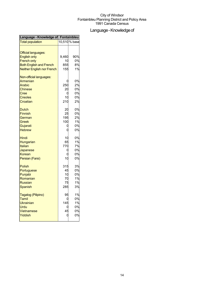## Language - Knowledge of

| Language - Knowledge of Fontainbleu |       |               |
|-------------------------------------|-------|---------------|
| <b>Total population</b>             |       | 10,510 % base |
| <b>Official languages:</b>          |       |               |
| <b>English only</b>                 | 9,460 | 90%           |
| <b>French only</b>                  | 10    | 0%            |
| <b>Both English and French</b>      | 855   | 8%            |
| <b>Neither English nor French</b>   | 155   | 1%            |
| Non-official languages:             |       |               |
| Armenian                            |       | 0%            |
| Arabic                              | 250   | 2%            |
| <b>Chinese</b>                      | 20    | 0%            |
| Cree                                | С     | 0%            |
| <b>Creoles</b>                      | 10    | 0%            |
| Croatian                            | 210   | 2%            |
| Dutch                               | 20    | 0%            |
| <b>Finnish</b>                      | 25    | 0%            |
| German                              | 195   | 2%            |
| Greek                               | 100   | 1%            |
| Gujarati                            | C     | 0%            |
| <b>Hebrew</b>                       | C     | 0%            |
| Hindi                               | 10    | 0%            |
| Hungarian                           | 65    | 1%            |
| Italian                             | 770   | 7%            |
| Japanese                            | C     | 0%            |
| Korean                              | С     | 0%            |
| Persian (Farsi)                     | 10    | 0%            |
| <b>Polish</b>                       | 315   | 3%            |
| Portuguese                          | 45    | 0%            |
| Punjabi                             | 10    | 0%            |
| Romanian                            | 70    | 1%            |
| Russian                             | 75    | 1%            |
| Spanish                             | 285   | 3%            |
| Tagalog (Pilipino)                  | 95    | 1%            |
| Tamil                               | C     | 0%            |
| <b>Ukrainian</b>                    | 145   | 1%            |
| Urdu                                | C     | 0%            |
| Vietnamese                          | 45    | 0%            |
| Yiddish                             |       | 0%            |
|                                     |       |               |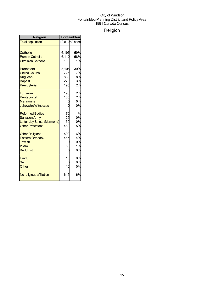## Religion

| <b>Religion</b>             | <b>Fontainbleu</b> |               |
|-----------------------------|--------------------|---------------|
| <b>Total population</b>     |                    | 10,510 % base |
|                             |                    |               |
| Catholic                    | 6,195              | 59%           |
| <b>Roman Catholic</b>       | 6,110              | 58%           |
| <b>Ukrainian Catholic</b>   | 100                | 1%            |
| Protestant                  | 3,105              | 30%           |
| <b>United Church</b>        | 725                | 7%            |
| Anglican                    | 830                | 8%            |
| <b>Baptist</b>              | 275                | 3%            |
| Presbyterian                | 195                | 2%            |
| Lutheran                    | 190                | 2%            |
| Pentecostal                 | 185                | 2%            |
| <b>Mennonite</b>            |                    | 0%            |
| <b>Jehovah's Witnesses</b>  |                    | 0%            |
| <b>Reformed Bodies</b>      | 70                 | 1%            |
| <b>Salvation Army</b>       | 25                 | 0%            |
| Latter-day Saints (Mormons) | 50                 | 0%            |
| <b>Other Protestant</b>     | 480                | 5%            |
| <b>Other Religions</b>      | 590                | 6%            |
| <b>Eastern Orthodox</b>     | 465                | 4%            |
| <b>Jewish</b>               | 0                  | 0%            |
| Islam                       | 80                 | 1%            |
| <b>Buddhist</b>             | 0                  | 0%            |
| <b>Hindu</b>                | 10                 | 0%            |
| <b>Sikh</b>                 |                    | 0%            |
| Other                       | 10                 | 0%            |
| No religious affiliation    | 615                | 6%            |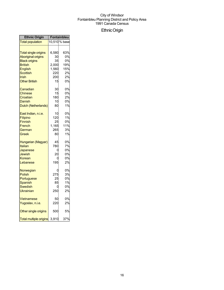## EthnicOrigin

| <b>Ethnic Origin</b>                                                      | <b>Fontainbleu</b>          |                                  |
|---------------------------------------------------------------------------|-----------------------------|----------------------------------|
| <b>Total population</b>                                                   |                             | 10,510 % base                    |
| <b>Total single origins</b>                                               | 6,580                       | 63%                              |
| <b>Aboriginal origins</b>                                                 | 30                          | 0%                               |
| <b>Black origins</b>                                                      | 35                          | 0%                               |
| <b>British</b>                                                            | 2,000                       | 19%                              |
| English                                                                   | 1,560                       | 15%                              |
| Scottish                                                                  | 220                         | 2%                               |
| Irish                                                                     | 200                         | 2%                               |
| <b>Other British</b>                                                      | 15                          | 0%                               |
| Canadian                                                                  | 30                          | 0%                               |
| Chinese                                                                   | 15                          | 0%                               |
| Croatian                                                                  | 180                         | 2%                               |
| Danish                                                                    | 10                          | 0%                               |
| Dutch (Netherlands)                                                       | 80                          | 1%                               |
| East Indian, n.i.e.                                                       | 10                          | 0%                               |
| Filipino                                                                  | 120                         | 1%                               |
| <b>Finnish</b>                                                            | 25                          | 0%                               |
| French                                                                    | 1,165                       | 11%                              |
| German                                                                    | 265                         | 3%                               |
| Greek                                                                     | 80                          | 1%                               |
| Hungarian (Magyar)<br>Italian<br>Japanese<br>Jewish<br>Korean<br>Lebanese | 45<br>780<br>C<br>20<br>195 | 0%<br>7%<br>0%<br>0%<br>0%<br>2% |
| Norwegian                                                                 | C                           | 0%                               |
| Polish                                                                    | 275                         | 3%                               |
| Portuguese                                                                | 25                          | 0%                               |
| Spanish                                                                   | 85                          | 1%                               |
| Swedish                                                                   | ſ                           | 0%                               |
| Ukrainian                                                                 | 250                         | 2%                               |
| <b>Vietnamese</b>                                                         | 50                          | 0%                               |
| Yugoslav, n.i.e.                                                          | 220                         | 2%                               |
| Other single origins                                                      | 500                         | 5%                               |
| <b>Total multiple origins</b>                                             | 3,910                       | 37%                              |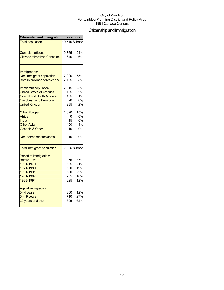## Citizenship and Immigration

| <b>Citizenship and Immigration</b>  | <b>Fontainbleu</b> |               |
|-------------------------------------|--------------------|---------------|
| <b>Total population</b>             |                    | 10,510 % base |
|                                     |                    |               |
| <b>Canadian citizens</b>            | 9,865              | 94%           |
| <b>Citizens other than Canadian</b> | 640                | 6%            |
| Immigration:                        |                    |               |
| Non-immigrant population            | 7,900              | 75%           |
| Born in province of residence       | 7,165              | 68%           |
|                                     |                    |               |
| Immigrant population                | 2,615              | 25%           |
| <b>United States of America</b>     | 165                | 2%            |
| <b>Central and South America</b>    | 155                | 1%            |
| Caribbean and Bermuda               | 20                 | 0%            |
| <b>United Kingdom</b>               | 235                | 2%            |
| <b>Other Europe</b>                 | 1,620              | 15%           |
| Africa                              |                    | 0%            |
| India                               | 15                 | 0%            |
| <b>Other Asia</b>                   | 400                | 4%            |
| Oceania & Other                     | 10                 | 0%            |
| Non-permanent residents             | 10                 | 0%            |
|                                     |                    |               |
| <b>Total immigrant population</b>   |                    | 2,605 % base  |
| Period of immigration:              |                    |               |
| Before 1961                         | 955                | 37%           |
| 1961-1970                           | 535                | 21%           |
| 1971-1980                           | 500                | 19%           |
| 1981-1991                           | 580                | 22%           |
| 1981-1987                           | 255                | 10%           |
| 1988-1991                           | 325                | 12%           |
| Age at immigration:                 |                    |               |
| $0 - 4$ years                       | 300                | 12%           |
| 5 - 19 years                        | 710                | 27%           |
| 20 years and over                   | 1,605              | 62%           |
|                                     |                    |               |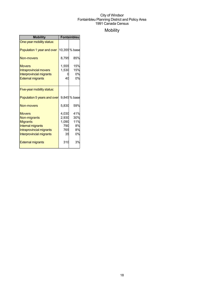## Mobility

| <b>Mobility</b>                                                                                                                             | Fontainbleu                                 |                                     |
|---------------------------------------------------------------------------------------------------------------------------------------------|---------------------------------------------|-------------------------------------|
| One-year mobility status:                                                                                                                   |                                             |                                     |
| Population 1 year and over                                                                                                                  |                                             | 10,355% base                        |
| Non-movers                                                                                                                                  | 8,795                                       | 85%                                 |
| <b>Movers</b><br><b>Intraprovincial movers</b><br><b>Interprovincial migrants</b><br><b>External migrants</b>                               | 1,555<br>1,530<br>40                        | 15%<br>15%<br>0%<br>0%              |
| Five-year mobility status:                                                                                                                  |                                             |                                     |
| Population 5 years and over                                                                                                                 |                                             | 9,845% base                         |
| <b>Non-movers</b>                                                                                                                           | 5,830                                       | 59%                                 |
| <b>Movers</b><br>Non-migrants<br><b>Migrants</b><br><b>Internal migrants</b><br>Intraprovincial migrants<br><b>Interprovincial migrants</b> | 4,030<br>2,930<br>1,090<br>790<br>765<br>35 | 41%<br>30%<br>11%<br>8%<br>8%<br>0% |
| <b>External migrants</b>                                                                                                                    | 310                                         | 3%                                  |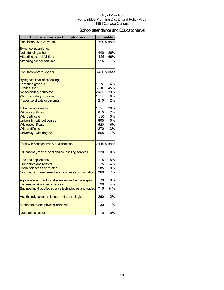## School attendance and Education level

| <b>School attendance and Education level</b>          |       | Fontainbleu  |
|-------------------------------------------------------|-------|--------------|
| Population 15 to 24 years                             |       | 1,700 % base |
| By school attendance:                                 |       |              |
| Not attending school                                  | 440   | 26%          |
| <b>Attending school full time</b>                     | 1,125 | 66%          |
| Attending school part time                            | 115   | 7%           |
| Population over 15 years                              |       | 8,450 % base |
| By highest level of schooling:                        |       |              |
| Less than grade 9                                     | 1,375 | 16%          |
| Grades 9 to 13                                        | 3,810 | 45%          |
| No secondary certificate                              | 2,485 | 29%          |
| With secondary certificate                            | 1,325 | 16%          |
| Trades certificate or diploma                         | 210   | 2%           |
| Other non-university                                  | 1,695 | 20%          |
| <b>Without certificate</b>                            | 615   | 7%           |
| <b>With certificate</b>                               | 1,080 | 13%          |
| University - without degree                           | 805   | 10%          |
| <b>Without certificate</b>                            | 520   | 6%           |
| <b>With certificate</b>                               | 270   | 3%           |
| University - with degree                              | 565   | 7%           |
| Total with postsecondary qualifications               |       | 2,110% base  |
| Educational, recreational and counselling services    | 220   | 10%          |
| Fine and applied arts                                 | 115   | 5%           |
| <b>Humanities and related</b>                         | 75    | 4%           |
| Social sciences and related                           | 185   | 9%           |
| Commerce, management and business administration      | 360   | 17%          |
| Agricultural and biological sciences and technologies | 70    | 3%           |
| Engineering & applied sciences                        | 90    | 4%           |
| Engineering & applied science technologies and trades | 715   | 34%          |
| Health professions, sciences and technologies         | 260   | 12%          |
| Mathematics and physical sciences                     | 30    | 1%           |
| None and all other                                    | 0     | 0%           |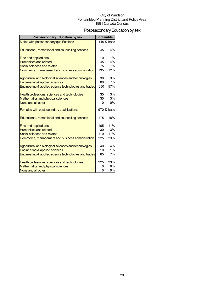## Post-secondary Education by sex

| <b>Post-secondary Education by sex</b>                |            | <b>Fontainbleu</b> |
|-------------------------------------------------------|------------|--------------------|
| Males with postsecondary qualifications               |            | 1,140 % base       |
|                                                       |            |                    |
| Educational, recreational and counselling services    | 45         | 4%                 |
| Fine and applied arts                                 | 10         | 1%                 |
| <b>Humanities and related</b>                         | 45         | 4%                 |
| Social sciences and related                           | 75         | 7%                 |
| Commerce, management and business administration      | <b>135</b> | 12%                |
| Agricultural and biological sciences and technologies | 30         | 3%                 |
| Engineering & applied sciences                        | 80         | 7%                 |
| Engineering & applied science technologies and trades | 650        | 57%                |
| Health professions, sciences and technologies         | 35         | 3%                 |
| Mathematics and physical sciences                     | 30         | 3%                 |
| None and all other                                    | 0          | 0%                 |
| Females with postsecondary qualifications             |            | 970 % base         |
| Educational, recreational and counselling services    | 175        | 18%                |
| Fine and applied arts                                 | 105        | 11%                |
| <b>Humanities and related</b>                         | 30         | 3%                 |
| Social sciences and related                           | 110        | 11%                |
| Commerce, management and business administration      | 225        | 23%                |
| Agricultural and biological sciences and technologies | 40         | 4%                 |
| Engineering & applied sciences                        | 10         | 1%                 |
| Engineering & applied science technologies and trades | 65         | 7%                 |
| Health professions, sciences and technologies         | 225        | 23%                |
| Mathematics and physical sciences                     | 0          | 0%                 |
| None and all other                                    | ŋ          | 0%                 |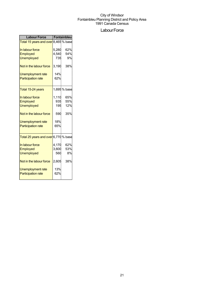## Labour Force

| <b>Labour Force</b>                  | <b>Fontainbleu</b> |              |  |
|--------------------------------------|--------------------|--------------|--|
| Total 15 years and over 8,465 % base |                    |              |  |
| In labour force                      | 5,280              | 62%          |  |
| Employed                             | 4,540              | 54%          |  |
| <b>Unemployed</b>                    | 735                | 9%           |  |
| Not in the labour force              | 3,190              | 38%          |  |
| <b>Unemployment rate</b>             | 14%                |              |  |
| <b>Participation rate</b>            | 62%                |              |  |
| Total 15-24 years                    |                    | 1,695 % base |  |
| In labour force                      | 1,110              | 65%          |  |
| Employed                             | 935                | 55%          |  |
| <b>Unemployed</b>                    | 195                | 12%          |  |
| Not in the labour force              | 590                | 35%          |  |
| Unemployment rate                    | 18%                |              |  |
| <b>Participation rate</b>            | 65%                |              |  |
| Total 25 years and over 6,770 % base |                    |              |  |
| In labour force                      | 4,170              | 62%          |  |
| Employed                             | 3,600              | 53%          |  |
| <b>Unemployed</b>                    | 560                | 8%           |  |
| Not in the labour force              | 2,605              | 38%          |  |
| Unemployment rate                    | 13%                |              |  |
| <b>Participation rate</b>            | 62%                |              |  |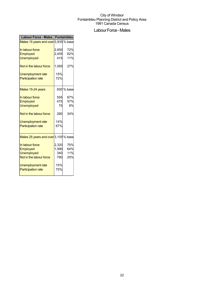## Labour Force - Males

| Labour Force - Males   Fontainbleu   |       |            |
|--------------------------------------|-------|------------|
| Males 15 years and over 3,935 % base |       |            |
| In labour force                      | 2,850 | 72%        |
| Employed                             | 2,455 | 62%        |
| <b>Unemployed</b>                    | 415   | 11%        |
| Not in the labour force              | 1,065 | 27%        |
| Unemployment rate                    | 15%   |            |
| <b>Participation rate</b>            | 72%   |            |
| Males 15-24 years                    |       | 830 % base |
| In labour force                      | 555   | 67%        |
| Employed                             | 475   | 57%        |
| <b>Unemployed</b>                    | 75    | 9%         |
| Not in the labour force              | 280   | 34%        |
| Unemployment rate                    | 14%   |            |
| <b>Participation rate</b>            | 67%   |            |
| Males 25 years and over 3,105 % base |       |            |
| In labour force                      | 2,320 | 75%        |
| Employed                             | 1,990 | 64%        |
| <b>Unemployed</b>                    | 340   | 11%        |
| Not in the labour force              | 790   | 25%        |
| Unemployment rate                    | 15%   |            |
| <b>Participation rate</b>            | 75%   |            |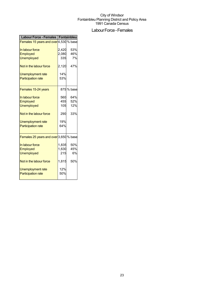## Labour Force - Females

| Labour Force - Females   Fontainbleu   |       |            |
|----------------------------------------|-------|------------|
| Females 15 years and over 4,530 % base |       |            |
| In labour force                        | 2,420 | 53%        |
| Employed                               | 2,080 | 46%        |
| <b>Unemployed</b>                      | 335   | 7%         |
| Not in the labour force                | 2,120 | 47%        |
| Unemployment rate                      | 14%   |            |
| <b>Participation rate</b>              | 53%   |            |
| Females 15-24 years                    |       | 875 % base |
| In labour force                        | 560   | 64%        |
| Employed                               | 455   | 52%        |
| <b>Unemployed</b>                      | 105   | 12%        |
| Not in the labour force                | 290   | 33%        |
| <b>Unemployment rate</b>               | 19%   |            |
| <b>Participation rate</b>              | 64%   |            |
| Females 25 years and over 3,650 % base |       |            |
| In labour force                        | 1,835 | 50%        |
| Employed                               | 1,630 | 45%        |
| <b>Unemployed</b>                      | 215   | 6%         |
| Not in the labour force                | 1,815 | 50%        |
| Unemployment rate                      | 12%   |            |
| <b>Participation rate</b>              | 50%   |            |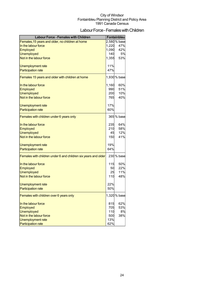## Labour Force - Females with Children

| <b>Labour Force - Females with Children</b>                    |       | Fontainbleu  |
|----------------------------------------------------------------|-------|--------------|
| Females, 15 years and older, no children at home               |       | 2,580 % base |
| In the labour force                                            | 1,220 | 47%          |
| Employed                                                       | 1,090 | 42%          |
| <b>Unemployed</b>                                              | 140   | 5%           |
| Not in the labour force                                        | 1,355 | 53%          |
|                                                                |       |              |
| Unemployment rate                                              | 11%   |              |
| <b>Participation rate</b>                                      | 47%   |              |
| Females 15 years and older with children at home               |       | 1,930 % base |
| In the labour force                                            | 1,160 | 60%          |
| Employed                                                       | 990   | 51%          |
| <b>Unemployed</b>                                              | 200   | 10%          |
| Not in the labour force                                        | 765   | 40%          |
| Unemployment rate                                              | 17%   |              |
| <b>Participation rate</b>                                      | 60%   |              |
|                                                                |       |              |
| Females with children under 6 years only                       |       | 365 % base   |
| In the labour force                                            | 235   | 64%          |
| Employed                                                       | 210   | 58%          |
| <b>Unemployed</b>                                              | 45    | 12%          |
| Not in the labour force                                        | 150   | 41%          |
| Unemployment rate                                              | 19%   |              |
| <b>Participation rate</b>                                      | 64%   |              |
|                                                                |       |              |
| Females with children under 6 and children six years and older |       | 230 % base   |
| In the labour force                                            | 115   | 50%          |
| Employed                                                       | 50    | 22%          |
| <b>Unemployed</b>                                              | 25    | 11%          |
| Not in the labour force                                        | 110   | 48%          |
| Unemployment rate                                              | 22%   |              |
| <b>Participation rate</b>                                      | 50%   |              |
| Females with children over 6 years only                        |       | 1,320 % base |
| In the labour force                                            | 815   | 62%          |
| Employed                                                       | 705   | 53%          |
| <b>Unemployed</b>                                              | 110   | 8%           |
| Not in the labour force                                        | 500   | 38%          |
| Unemployment rate                                              | 13%   |              |
| <b>Participation rate</b>                                      | 62%   |              |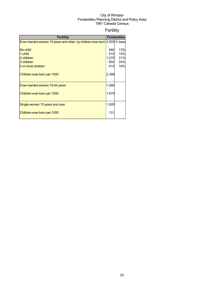## Fertility

| <b>Fertility</b>                                                          |       | <b>Fontainbleul</b> |
|---------------------------------------------------------------------------|-------|---------------------|
| Ever-married women 15 years and older, by children ever born 3,505 % base |       |                     |
|                                                                           |       |                     |
| No child                                                                  | 460   | 13%                 |
| 1 child                                                                   | 515   | 15%                 |
| 2 children                                                                | 1,075 | 31%                 |
| 3 children                                                                | 850   | 24%                 |
| 4 or more children                                                        | 615   | 18%                 |
| Children ever-born per 1000                                               | 2,399 |                     |
| Ever-married women 15-44 years                                            | 1,560 |                     |
| Children ever-born per 1000                                               | 1,679 |                     |
| Single women 15 years and over                                            | 1,005 |                     |
| Children ever-born per 1000                                               | 131   |                     |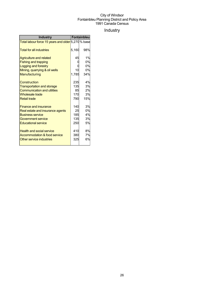## Industry

| <b>Industry</b>                                    |       | Fontainbleu |
|----------------------------------------------------|-------|-------------|
| Total labour force 15 years and older 5,270 % base |       |             |
| <b>Total for all industries</b>                    | 5,160 | 98%         |
| <b>Agriculture and related</b>                     | 45    | 1%          |
| <b>Fishing and trapping</b>                        |       | 0%          |
| Logging and forestry                               |       | 0%          |
| Mining, quarrying & oil wells                      | 10    | 0%          |
| Manufacturing                                      | 1,785 | 34%         |
| Construction                                       | 235   | 4%          |
| <b>Transportation and storage</b>                  | 135   | 3%          |
| <b>Communication and utilities</b>                 | 85    | 2%          |
| <b>Wholesale trade</b>                             | 170   | 3%          |
| <b>Retail trade</b>                                | 790   | 15%         |
| <b>Finance and insurance</b>                       | 140   | 3%          |
| Real estate and insurance agents                   | 25    | 0%          |
| <b>Business service</b>                            | 185   | 4%          |
| Government service                                 | 135   | 3%          |
| <b>Educational service</b>                         | 250   | 5%          |
| <b>Health and social service</b>                   | 410   | 8%          |
| Accommodation & food service                       | 380   | 7%          |
| Other service industries                           | 325   | 6%          |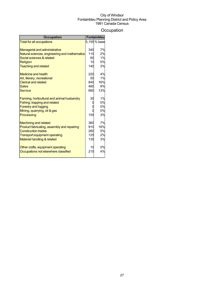## **Occupation**

| <b>Occupation</b>                             |     | Fontainbleu  |
|-----------------------------------------------|-----|--------------|
| <b>Total for all occupations</b>              |     | 5,155 % base |
|                                               |     |              |
| <b>Managerial and administrative</b>          | 340 | 7%           |
| Natural sciences, engineering and mathematics | 110 | 2%<br>1%     |
| Social sciences & related                     | 60  |              |
| Religion                                      | 10  | 0%           |
| <b>Teaching and related</b>                   | 140 | 3%           |
| <b>Medicine and health</b>                    | 220 | 4%           |
| Art, literary, recreational                   | 50  | 1%           |
| <b>Clerical and related</b>                   | 840 | 16%          |
| <b>Sales</b>                                  | 460 | 9%           |
| Service                                       | 660 | 13%          |
| Farming, horticultural and animal husbandry   | 30  | 1%           |
| Fishing, trapping and related                 |     | 0%           |
| <b>Forestry and logging</b>                   |     | 0%           |
| Mining, quarrying, oil & gas                  |     | 0%           |
| Processing                                    | 155 | 3%           |
| <b>Machining and related</b>                  | 360 | 7%           |
| Product fabricating, assembly and repairing   | 910 | 18%          |
| <b>Construction trades</b>                    | 260 | 5%           |
| <b>Transport equipment operating</b>          | 125 | 2%           |
| Material handling & related                   | 135 | 3%           |
| Other crafts, equipment operating             | 10  | 0%           |
| Occupations not elsewhere classified          | 215 | 4%           |
|                                               |     |              |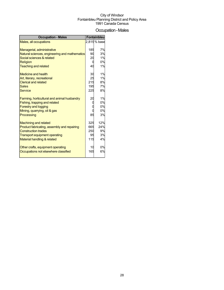## Occupation-Males

| <b>Occupation - Males</b>                     |     | Fontainbleu  |
|-----------------------------------------------|-----|--------------|
| Males, all occupations                        |     | 2,815 % base |
|                                               |     |              |
| Managerial, administrative                    | 185 | 7%           |
| Natural sciences, engineering and mathematics | 90  | 3%           |
| Social sciences & related                     | 20  | 1%           |
| Religion                                      | 0   | 0%           |
| <b>Teaching and related</b>                   | 40  | 1%           |
| <b>Medicine and health</b>                    | 30  | 1%           |
| Art, literary, recreational                   | 25  | 1%           |
| <b>Clerical and related</b>                   | 215 | 8%           |
| <b>Sales</b>                                  | 195 | 7%           |
| <b>Service</b>                                | 225 | 8%           |
| Farming, horticultural and animal husbandry   | 20  | 1%           |
| Fishing, trapping and related                 |     | 0%           |
| <b>Forestry and logging</b>                   |     | 0%           |
| Mining, quarrying, oil & gas                  |     | 0%           |
| Processing                                    | 85  | 3%           |
| <b>Machining and related</b>                  | 325 | 12%          |
| Product fabricating, assembly and repairing   | 665 | 24%          |
| <b>Construction trades</b>                    | 250 | 9%           |
| <b>Transport equipment operating</b>          | 95  | 3%           |
| Material handling & related                   | 115 | 4%           |
| Other crafts, equipment operating             | 10  | 0%           |
| Occupations not elsewhere classified          | 165 | 6%           |
|                                               |     |              |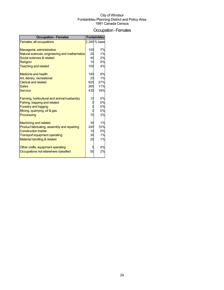### Occupation-Females

| <b>Occupation - Females</b>                   |     | Fontainbleu  |
|-----------------------------------------------|-----|--------------|
| Females, all occupations                      |     | 2,340 % base |
|                                               |     |              |
| Managerial, administrative                    | 155 | 7%           |
| Natural sciences, engineering and mathematics | 20  | 1%           |
| Social sciences & related                     | 40  | 2%           |
| <b>Religion</b>                               | 10  | 0%           |
| <b>Teaching and related</b>                   | 100 | 4%           |
| Medicine and health                           | 190 | 8%           |
| Art, literary, recreational                   | 25  | 1%           |
| <b>Clerical and related</b>                   | 625 | 27%          |
| <b>Sales</b>                                  | 265 | 11%          |
| <b>Service</b>                                | 435 | 19%          |
| Farming, horticultural and animal husbandry   | 10  | 0%           |
| Fishing, trapping and related                 | O   | 0%           |
| <b>Forestry and logging</b>                   |     | 0%           |
| Mining, quarrying, oil & gas                  | 0   | 0%           |
| Processing                                    | 70  | 3%           |
| <b>Machining and related</b>                  | 35  | 1%           |
| Product fabricating, assembly and repairing   | 245 | 10%          |
| <b>Construction trades</b>                    | 10  | 0%           |
| <b>Transport equipment operating</b>          | 30  | 1%           |
| Material handling & related                   | 20  | 1%           |
| Other crafts, equipment operating             |     | 0%           |
| Occupations not elsewhere classified          | 50  | 2%           |
|                                               |     |              |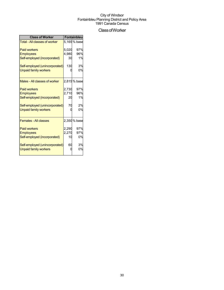## ClassofWorker

| <b>Class of Worker</b>               | Fontainbleu |              |  |
|--------------------------------------|-------------|--------------|--|
| <b>Total - All classes of worker</b> |             | 5.165 % base |  |
| <b>Paid workers</b>                  | 5,020       | 97%          |  |
| <b>Employees</b>                     | 4,980       | 96%          |  |
| Self-employed (incorporated)         | 30          | 1%           |  |
| Self-employed (unincorporated)       | 130         | 3%           |  |
| <b>Unpaid family workers</b>         |             | 0%           |  |
| Males - All classes of worker        |             | 2,815 % base |  |
| <b>Paid workers</b>                  | 2,730       | 97%          |  |
| <b>Employees</b>                     | 2,710       | 96%          |  |
| Self-employed (incorporated)         | 20          | 1%           |  |
| Self-employed (unincorporated)       | 70          | 2%           |  |
| <b>Unpaid family workers</b>         |             | 0%           |  |
| <b>Females - All classes</b>         |             | 2,350 % base |  |
| <b>Paid workers</b>                  | 2,290       | 97%          |  |
| <b>Employees</b>                     | 2,270       | 97%          |  |
| Self-employed (incorporated)         | 10          | 0%           |  |
| Self-employed (unincorporated)       | 60          | 3%           |  |
| <b>Unpaid family workers</b>         |             | 0%           |  |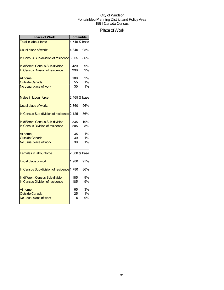## Place of Work

| <b>Place of Work</b>                                                |                 | Fontainbleu    |
|---------------------------------------------------------------------|-----------------|----------------|
| <b>Total in labour force</b>                                        |                 | 4,545% base    |
| Usual place of work:                                                | 4,340           | 95%            |
| In Census Sub-division of residence <sup>[3,905]</sup>              |                 | 86%            |
| In different Census Sub-division<br>In Census Division of residence | 420<br>390      | 9%<br>9%       |
| At home<br><b>Outside Canada</b><br>No usual place of work          | 100<br>55<br>30 | 2%<br>1%<br>1% |
| <b>Males in labour force</b>                                        |                 | 2,465 % base   |
| Usual place of work:                                                | 2,360           | 96%            |
| In Census Sub-division of residence <sup>[2,125]</sup>              |                 | 86%            |
| In different Census Sub-division<br>In Census Division of residence | 235<br>205      | 10%<br>8%      |
| At home<br><b>Outside Canada</b><br>No usual place of work          | 35<br>30<br>30  | 1%<br>1%<br>1% |
| <b>Females in labour force</b>                                      |                 | 2,080 % base   |
| Usual place of work:                                                | 1,980           | 95%            |
| In Census Sub-division of residence 1,780                           |                 | 86%            |
| In different Census Sub-division<br>In Census Division of residence | 185<br>185      | 9%<br>9%       |
| At home<br><b>Outside Canada</b><br>No usual place of work          | 65<br>25<br>0   | 3%<br>1%<br>0% |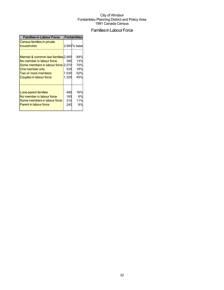## Families in Labour Force

| <b>Families in Labour Force</b>                                                                                                                                                    | Fontainbleu                  |                                        |  |
|------------------------------------------------------------------------------------------------------------------------------------------------------------------------------------|------------------------------|----------------------------------------|--|
| Census families in private<br>households                                                                                                                                           |                              | 2,945% base                            |  |
| Married & common-law families 2,465<br>No member in labour force<br>Some members in labour force 2,070<br>One member only<br>Two or more members<br><b>Couples in labour force</b> | 390<br>535<br>1,530<br>1,325 | 84%<br>13%<br>70%<br>18%<br>52%<br>45% |  |
| Lone-parent families<br>No member in labour force<br>Some members in labour force<br><b>Parent in labour force</b>                                                                 | 480<br>165<br>310<br>240     | 16%<br>6%<br>11%<br>8%                 |  |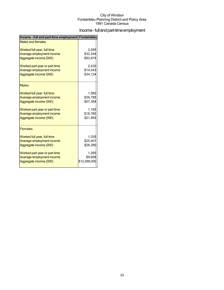## Income - full and part-time employment

| Income - full and part-time employment Fontainbleu |              |
|----------------------------------------------------|--------------|
| <b>Males and females</b>                           |              |
| Worked full year, full time                        | 2,595        |
| Average employment income                          | \$32,244     |
| Aggregate income (000)                             | \$83,674     |
| Worked part year or part time                      | 2,430        |
| Average employment income                          | \$14,043     |
| Aggregate income (000)                             | \$34,124     |
| <b>Males</b>                                       |              |
| Worked full year, full time                        | 1,560        |
| Average employment income                          | \$36,785     |
| Aggregate income (000)                             | \$57,384     |
| Worked part year or part time                      | 1,165        |
| Average employment income                          | \$18,760     |
| Aggregate income (000)                             | \$21,855     |
| <b>Females</b>                                     |              |
| Worked full year, full time                        | 1,035        |
| Average employment income                          | \$25,401     |
| Aggregate income (000)                             | \$26,290     |
| Worked part year or part time                      | 1,265        |
| Average employment income                          | \$9,699      |
| Aggregate income (000)                             | \$12,269,000 |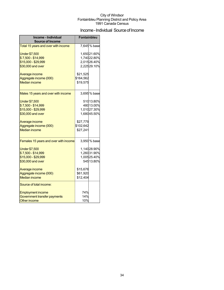## Income - Individual Source of Income

| Income - Individual<br><b>Source of Income</b> | <b>Fontainbleu</b> |                            |
|------------------------------------------------|--------------------|----------------------------|
| Total 15 years and over with income            |                    | 7,645% base                |
| <b>Under \$7,500</b><br>\$7,500 - \$14,999     |                    | 1,65021.60%<br>1,74022.80% |
| \$15,000 - \$29,999                            |                    | 2,01526.40%                |
| \$30,000 and over                              |                    | 2,22529.10%                |
| Average income                                 | \$21,525           |                            |
| Aggregate income (000)                         | \$164,562          |                            |
| <b>Median income</b>                           | \$19,575           |                            |
| Males 15 years and over with income            |                    | 3,695% base                |
| <b>Under \$7,500</b>                           |                    | 51013.80%                  |
| \$7,500 - \$14,999                             |                    | 480 13.00%                 |
| \$15,000 - \$29,999                            |                    | 1,01027.30%                |
| \$30,000 and over                              |                    | 1,68045.50%                |
| Average income                                 | \$27,779           |                            |
| Aggregate income (000)                         | \$102,642          |                            |
| <b>Median income</b>                           | \$27,241           |                            |
| Females 15 years and over with income          |                    | 3,950 % base               |
| <b>Under \$7,500</b>                           |                    | 1,14028.90%                |
| \$7,500 - \$14,999                             |                    | 1,26031.90%                |
| \$15,000 - \$29,999                            |                    | 1,00525.40%                |
| \$30,000 and over                              |                    | 545 13.80%                 |
| Average income                                 | \$15,676           |                            |
| Aggregate income (000)                         | \$61,920           |                            |
| <b>Median income</b>                           | \$12,404           |                            |
| Source of total income:                        |                    |                            |
| <b>Employment income</b>                       | 74%                |                            |
| Government transfer payments                   | 14%                |                            |
| <b>Other income</b>                            | 10%                |                            |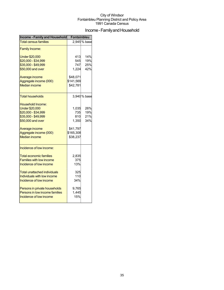## Income - Family and Household

| <b>Income - Family and Household</b> | <b>Fontainbleu</b> |             |  |
|--------------------------------------|--------------------|-------------|--|
| <b>Total census families</b>         |                    | 2,945% base |  |
| <b>Family Income:</b>                |                    |             |  |
| <b>Under \$20,000</b>                | 413                | 14%         |  |
| \$20,000 - \$34,999                  | 545                | 19%         |  |
| \$35,000 - \$49,999                  | 747                | 25%         |  |
| \$50,000 and over                    | 1.224              | 42%         |  |
| Average income                       | \$48,071           |             |  |
| Aggregate income (000)               | \$141,569          |             |  |
| <b>Median income</b>                 | \$42,781           |             |  |
| Total households                     |                    | 3,940% base |  |
| Household Income:                    |                    |             |  |
| <b>Under \$20,000</b>                | 1,035              | 26%         |  |
| \$20,000 - \$34,999                  | 735                | 19%         |  |
| \$35,000 - \$49,999                  | 810                | 21%         |  |
| \$50,000 and over                    | 1,350              | 34%         |  |
| Average income                       | \$41,797           |             |  |
| Aggregate income (000)               | \$165,308          |             |  |
| <b>Median income</b>                 | \$38,237           |             |  |
| Incidence of low income:             |                    |             |  |
| <b>Total economic families</b>       | 2,835              |             |  |
| <b>Families with low income</b>      | 375                |             |  |
| Incidence of low income              | 13%                |             |  |
| Total unattached individuals         | 325                |             |  |
| Individuals with low income          | 110                |             |  |
| Incidence of low income              | 34%                |             |  |
| Persons in private households        | 9,765              |             |  |
| Persons in low income families       | 1,445              |             |  |
| Incidence of low income              | 15%                |             |  |